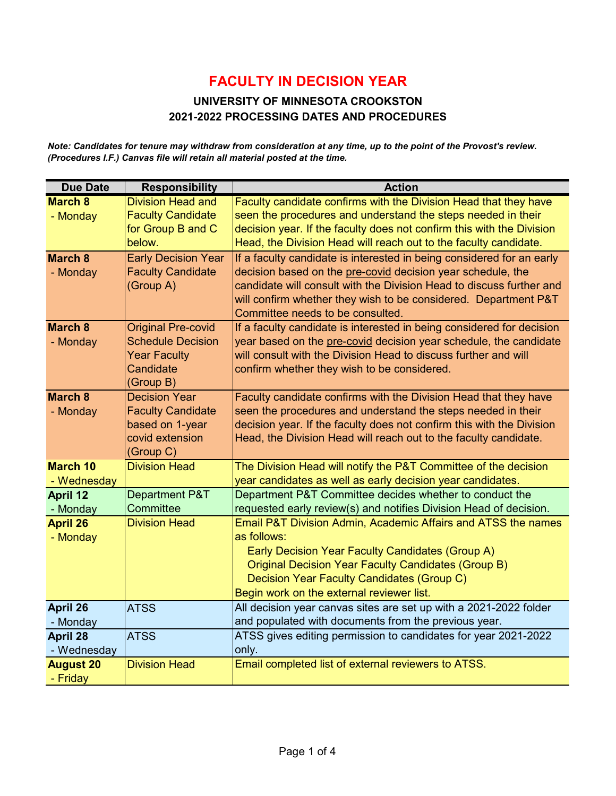#### **UNIVERSITY OF MINNESOTA CROOKSTON 2021-2022 PROCESSING DATES AND PROCEDURES**

*Note: Candidates for tenure may withdraw from consideration at any time, up to the point of the Provost's review. (Procedures I.F.) Canvas file will retain all material posted at the time.*

| <b>Due Date</b>  | <b>Responsibility</b>      | <b>Action</b>                                                         |
|------------------|----------------------------|-----------------------------------------------------------------------|
| <b>March 8</b>   | <b>Division Head and</b>   | Faculty candidate confirms with the Division Head that they have      |
| - Monday         | <b>Faculty Candidate</b>   | seen the procedures and understand the steps needed in their          |
|                  | for Group B and C          | decision year. If the faculty does not confirm this with the Division |
|                  | below.                     | Head, the Division Head will reach out to the faculty candidate.      |
| <b>March 8</b>   | <b>Early Decision Year</b> | If a faculty candidate is interested in being considered for an early |
| - Monday         | <b>Faculty Candidate</b>   | decision based on the pre-covid decision year schedule, the           |
|                  | (Group A)                  | candidate will consult with the Division Head to discuss further and  |
|                  |                            | will confirm whether they wish to be considered. Department P&T       |
|                  |                            | Committee needs to be consulted.                                      |
| March 8          | <b>Original Pre-covid</b>  | If a faculty candidate is interested in being considered for decision |
| - Monday         | <b>Schedule Decision</b>   | year based on the pre-covid decision year schedule, the candidate     |
|                  | <b>Year Faculty</b>        | will consult with the Division Head to discuss further and will       |
|                  | Candidate                  | confirm whether they wish to be considered.                           |
|                  | (Group B)                  |                                                                       |
| <b>March 8</b>   | <b>Decision Year</b>       | Faculty candidate confirms with the Division Head that they have      |
| - Monday         | <b>Faculty Candidate</b>   | seen the procedures and understand the steps needed in their          |
|                  | based on 1-year            | decision year. If the faculty does not confirm this with the Division |
|                  | covid extension            | Head, the Division Head will reach out to the faculty candidate.      |
|                  | (Group C)                  |                                                                       |
| <b>March 10</b>  | <b>Division Head</b>       | The Division Head will notify the P&T Committee of the decision       |
| - Wednesday      |                            | year candidates as well as early decision year candidates.            |
| <b>April 12</b>  | Department P&T             | Department P&T Committee decides whether to conduct the               |
| - Monday         | Committee                  | requested early review(s) and notifies Division Head of decision.     |
| <b>April 26</b>  | <b>Division Head</b>       | Email P&T Division Admin, Academic Affairs and ATSS the names         |
| - Monday         |                            | as follows:                                                           |
|                  |                            | Early Decision Year Faculty Candidates (Group A)                      |
|                  |                            | <b>Original Decision Year Faculty Candidates (Group B)</b>            |
|                  |                            | Decision Year Faculty Candidates (Group C)                            |
|                  |                            | Begin work on the external reviewer list.                             |
| April 26         | <b>ATSS</b>                | All decision year canvas sites are set up with a 2021-2022 folder     |
| - Monday         |                            | and populated with documents from the previous year.                  |
| April 28         | <b>ATSS</b>                | ATSS gives editing permission to candidates for year 2021-2022        |
| - Wednesday      |                            | only.                                                                 |
| <b>August 20</b> | <b>Division Head</b>       | Email completed list of external reviewers to ATSS.                   |
| - Friday         |                            |                                                                       |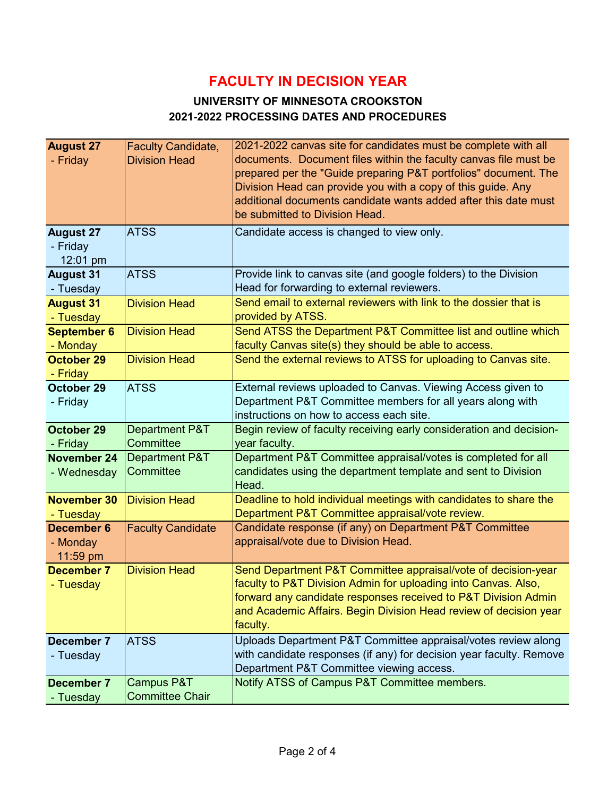### **UNIVERSITY OF MINNESOTA CROOKSTON 2021-2022 PROCESSING DATES AND PROCEDURES**

| <b>August 27</b>   | <b>Faculty Candidate,</b> | 2021-2022 canvas site for candidates must be complete with all      |
|--------------------|---------------------------|---------------------------------------------------------------------|
| - Friday           | <b>Division Head</b>      | documents. Document files within the faculty canvas file must be    |
|                    |                           | prepared per the "Guide preparing P&T portfolios" document. The     |
|                    |                           | Division Head can provide you with a copy of this guide. Any        |
|                    |                           | additional documents candidate wants added after this date must     |
|                    |                           | be submitted to Division Head.                                      |
| <b>August 27</b>   | <b>ATSS</b>               | Candidate access is changed to view only.                           |
| - Friday           |                           |                                                                     |
| 12:01 pm           |                           |                                                                     |
| <b>August 31</b>   | <b>ATSS</b>               | Provide link to canvas site (and google folders) to the Division    |
|                    |                           | Head for forwarding to external reviewers.                          |
| - Tuesday          |                           |                                                                     |
| <b>August 31</b>   | <b>Division Head</b>      | Send email to external reviewers with link to the dossier that is   |
| - Tuesday          |                           | provided by ATSS.                                                   |
| <b>September 6</b> | <b>Division Head</b>      | Send ATSS the Department P&T Committee list and outline which       |
| - Monday           |                           | faculty Canvas site(s) they should be able to access.               |
| October 29         | <b>Division Head</b>      | Send the external reviews to ATSS for uploading to Canvas site.     |
| - Friday           |                           |                                                                     |
| October 29         | <b>ATSS</b>               | External reviews uploaded to Canvas. Viewing Access given to        |
| - Friday           |                           | Department P&T Committee members for all years along with           |
|                    |                           | instructions on how to access each site.                            |
| <b>October 29</b>  | Department P&T            | Begin review of faculty receiving early consideration and decision- |
| - Friday           | Committee                 | year faculty.                                                       |
| <b>November 24</b> | <b>Department P&amp;T</b> | Department P&T Committee appraisal/votes is completed for all       |
| - Wednesday        | Committee                 | candidates using the department template and sent to Division       |
|                    |                           | Head.                                                               |
| <b>November 30</b> | <b>Division Head</b>      | Deadline to hold individual meetings with candidates to share the   |
| - Tuesday          |                           | Department P&T Committee appraisal/vote review.                     |
| <b>December 6</b>  | <b>Faculty Candidate</b>  | Candidate response (if any) on Department P&T Committee             |
| - Monday           |                           | appraisal/vote due to Division Head.                                |
| 11:59 pm           |                           |                                                                     |
| <b>December 7</b>  | <b>Division Head</b>      | Send Department P&T Committee appraisal/vote of decision-year       |
| - Tuesday          |                           | faculty to P&T Division Admin for uploading into Canvas. Also,      |
|                    |                           | forward any candidate responses received to P&T Division Admin      |
|                    |                           | and Academic Affairs. Begin Division Head review of decision year   |
|                    |                           | faculty.                                                            |
| December 7         | <b>ATSS</b>               | Uploads Department P&T Committee appraisal/votes review along       |
| - Tuesday          |                           | with candidate responses (if any) for decision year faculty. Remove |
|                    |                           | Department P&T Committee viewing access.                            |
| <b>December 7</b>  | Campus P&T                | Notify ATSS of Campus P&T Committee members.                        |
| - Tuesday          | <b>Committee Chair</b>    |                                                                     |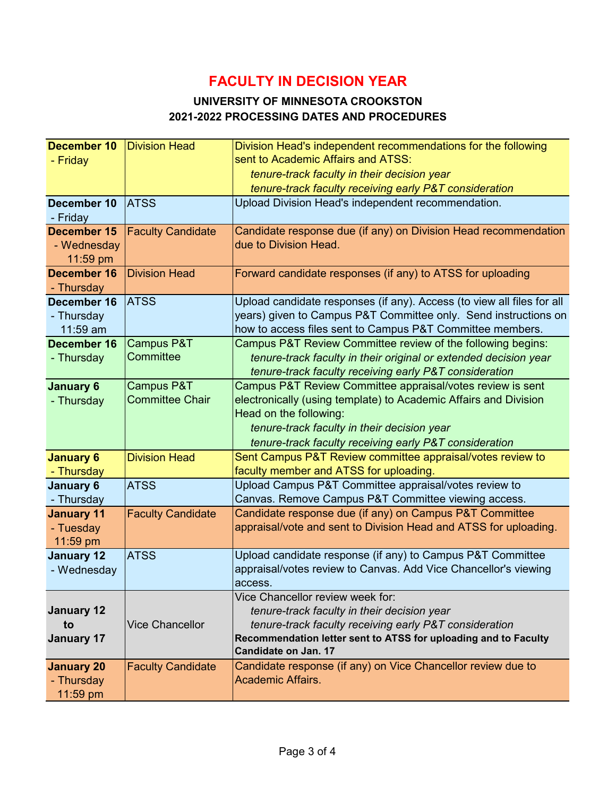### **UNIVERSITY OF MINNESOTA CROOKSTON 2021-2022 PROCESSING DATES AND PROCEDURES**

| <b>December 10</b><br><b>Division Head</b><br>Division Head's independent recommendations for the following                                             |  |
|---------------------------------------------------------------------------------------------------------------------------------------------------------|--|
| sent to Academic Affairs and ATSS:<br>- Friday                                                                                                          |  |
| tenure-track faculty in their decision year                                                                                                             |  |
| tenure-track faculty receiving early P&T consideration                                                                                                  |  |
| December 10<br><b>ATSS</b><br>Upload Division Head's independent recommendation.                                                                        |  |
| - Friday                                                                                                                                                |  |
| <b>December 15</b><br><b>Faculty Candidate</b><br>Candidate response due (if any) on Division Head recommendation                                       |  |
| due to Division Head.<br>- Wednesday                                                                                                                    |  |
| 11:59 pm                                                                                                                                                |  |
| December 16<br>Forward candidate responses (if any) to ATSS for uploading<br><b>Division Head</b>                                                       |  |
| - Thursday                                                                                                                                              |  |
| <b>ATSS</b><br>Upload candidate responses (if any). Access (to view all files for all<br>December 16                                                    |  |
| years) given to Campus P&T Committee only. Send instructions on<br>- Thursday                                                                           |  |
| how to access files sent to Campus P&T Committee members.<br>11:59 am                                                                                   |  |
| <b>Campus P&amp;T</b><br>Campus P&T Review Committee review of the following begins:<br><b>December 16</b>                                              |  |
| Committee<br>tenure-track faculty in their original or extended decision year<br>- Thursday                                                             |  |
| tenure-track faculty receiving early P&T consideration                                                                                                  |  |
| Campus P&T<br>Campus P&T Review Committee appraisal/votes review is sent<br><b>January 6</b>                                                            |  |
| <b>Committee Chair</b><br>electronically (using template) to Academic Affairs and Division<br>- Thursday                                                |  |
| Head on the following:                                                                                                                                  |  |
| tenure-track faculty in their decision year                                                                                                             |  |
| tenure-track faculty receiving early P&T consideration                                                                                                  |  |
| Sent Campus P&T Review committee appraisal/votes review to<br><b>January 6</b><br><b>Division Head</b>                                                  |  |
| faculty member and ATSS for uploading.<br>- Thursday                                                                                                    |  |
| Upload Campus P&T Committee appraisal/votes review to<br><b>ATSS</b><br><b>January 6</b>                                                                |  |
| Canvas. Remove Campus P&T Committee viewing access.<br>- Thursday                                                                                       |  |
| Candidate response due (if any) on Campus P&T Committee<br><b>Faculty Candidate</b><br><b>January 11</b>                                                |  |
| appraisal/vote and sent to Division Head and ATSS for uploading.<br>- Tuesday                                                                           |  |
| 11:59 pm                                                                                                                                                |  |
| <b>ATSS</b><br>Upload candidate response (if any) to Campus P&T Committee<br><b>January 12</b>                                                          |  |
| appraisal/votes review to Canvas. Add Vice Chancellor's viewing<br>- Wednesday                                                                          |  |
| access.                                                                                                                                                 |  |
| Vice Chancellor review week for:                                                                                                                        |  |
| <b>January 12</b><br>tenure-track faculty in their decision year                                                                                        |  |
|                                                                                                                                                         |  |
| <b>Vice Chancellor</b><br>tenure-track faculty receiving early P&T consideration<br>to                                                                  |  |
| Recommendation letter sent to ATSS for uploading and to Faculty<br><b>January 17</b>                                                                    |  |
| Candidate on Jan. 17                                                                                                                                    |  |
| Candidate response (if any) on Vice Chancellor review due to<br><b>Faculty Candidate</b><br><b>January 20</b><br><b>Academic Affairs.</b><br>- Thursday |  |